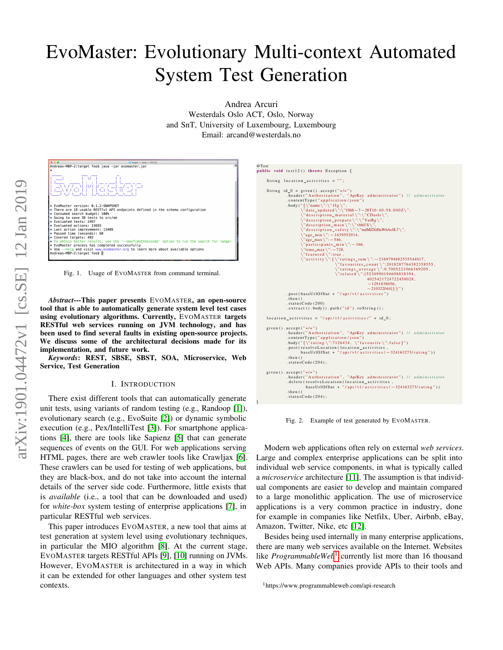# EvoMaster: Evolutionary Multi-context Automated System Test Generation

Andrea Arcuri Westerdals Oslo ACT, Oslo, Norway and SnT, University of Luxembourg, Luxembourg Email: arcand@westerdals.no

|                                                                                                             | $\arctan - -\text{hash} - 93x23$ |
|-------------------------------------------------------------------------------------------------------------|----------------------------------|
| Andreas-MBP-2:target foos java -jar evomaster.jar                                                           |                                  |
|                                                                                                             |                                  |
|                                                                                                             |                                  |
|                                                                                                             |                                  |
| 77 TEACHER                                                                                                  |                                  |
|                                                                                                             |                                  |
|                                                                                                             |                                  |
|                                                                                                             |                                  |
|                                                                                                             |                                  |
| * EvoMaster version: 0.1.2-SNAPSHOT                                                                         |                                  |
| ∦* There are 18 usable RESTful API endpoints defined in the schema configuration                            |                                  |
| * Consumed search budget: 100%<br>* Going to save 38 tests to src/em                                        |                                  |
| * Evaluated tests: 2497                                                                                     |                                  |
| * Evaluated actions: 13693                                                                                  |                                  |
| * Last action improvement: 13489                                                                            |                                  |
| * Passed time (seconds): 60                                                                                 |                                  |
| * Covered targets: 492                                                                                      |                                  |
| * To obtain better results, use the '--maxTimeInSeconds' option to run the search for longer                |                                  |
| * EvoMaster process has completed successfully                                                              |                                  |
| * Use --help and visit www.evomaster.org to learn more about available options<br>Andreas-MBP-2:target foos |                                  |
|                                                                                                             |                                  |

<span id="page-0-1"></span>Fig. 1. Usage of EVOMASTER from command terminal.

*Abstract*---This paper presents EVOMASTER, an open-source tool that is able to automatically generate system level test cases using evolutionary algorithms. Currently, EVOMASTER targets RESTful web services running on JVM technology, and has been used to find several faults in existing open-source projects. We discuss some of the architectural decisions made for its implementation, and future work.

*Keywords*: REST, SBSE, SBST, SOA, Microservice, Web Service, Test Generation

#### I. INTRODUCTION

There exist different tools that can automatically generate unit tests, using variants of random testing (e.g., Randoop [\[1\]](#page-3-0)), evolutionary search (e.g., EvoSuite [\[2\]](#page-3-1)) or dynamic symbolic execution (e.g., Pex/IntelliTest [\[3\]](#page-3-2)). For smartphone applications [\[4\]](#page-3-3), there are tools like Sapienz [\[5\]](#page-3-4) that can generate sequences of events on the GUI. For web applications serving HTML pages, there are web crawler tools like Crawljax [\[6\]](#page-3-5). These crawlers can be used for testing of web applications, but they are black-box, and do not take into account the internal details of the server side code. Furthermore, little exists that is *available* (i.e., a tool that can be downloaded and used) for *white-box* system testing of enterprise applications [\[7\]](#page-3-6), in particular RESTful web services.

This paper introduces EVOMASTER, a new tool that aims at test generation at system level using evolutionary techniques, in particular the MIO algorithm [\[8\]](#page-3-7). At the current stage, EVOMASTER targets RESTful APIs [\[9\]](#page-3-8), [\[10\]](#page-3-9) running on JVMs. However, EVOMASTER is architectured in a way in which it can be extended for other languages and other system test contexts.



<span id="page-0-2"></span>Fig. 2. Example of test generated by EVOMASTER.

Modern web applications often rely on external *web services*. Large and complex enterprise applications can be split into individual web service components, in what is typically called a *microservice* architecture [\[11\]](#page-3-10). The assumption is that individual components are easier to develop and maintain compared to a large monolithic application. The use of microservice applications is a very common practice in industry, done for example in companies like Netfilx, Uber, Airbnb, eBay, Amazon, Twitter, Nike, etc [\[12\]](#page-3-11).

Besides being used internally in many enterprise applications, there are many web services available on the Internet. Websites like *ProgrammableWeb*<sup>[1](#page-0-0)</sup> currently list more than 16 thousand Web APIs. Many companies provide APIs to their tools and

<span id="page-0-0"></span><sup>1</sup>https://www.programmableweb.com/api-research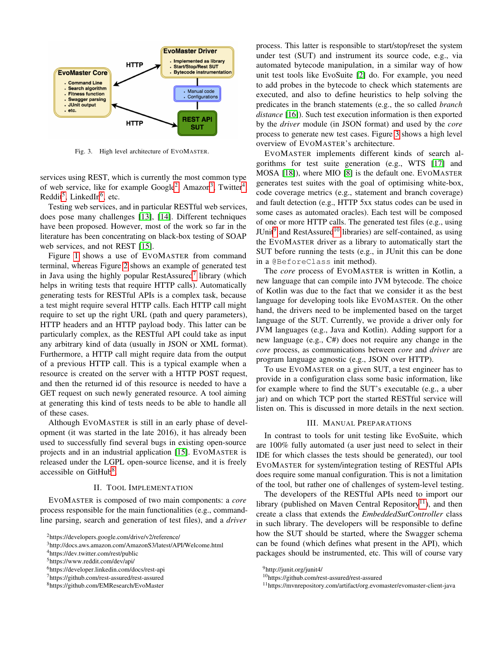

<span id="page-1-7"></span>Fig. 3. High level architecture of EVOMASTER.

services using REST, which is currently the most common type of web service, like for example Google<sup>[2](#page-1-0)</sup>, Amazon<sup>[3](#page-1-1)</sup>, Twitter<sup>[4](#page-1-2)</sup>, Reddit<sup>[5](#page-1-3)</sup>, LinkedIn<sup>[6](#page-1-4)</sup>, etc.

Testing web services, and in particular RESTful web services, does pose many challenges [\[13\]](#page-3-12), [\[14\]](#page-3-13). Different techniques have been proposed. However, most of the work so far in the literature has been concentrating on black-box testing of SOAP web services, and not REST [\[15\]](#page-3-14).

Figure [1](#page-0-1) shows a use of EVOMASTER from command terminal, whereas Figure [2](#page-0-2) shows an example of generated test in Java using the highly popular RestAssured<sup>[7](#page-1-5)</sup> library (which helps in writing tests that require HTTP calls). Automatically generating tests for RESTful APIs is a complex task, because a test might require several HTTP calls. Each HTTP call might require to set up the right URL (path and query parameters), HTTP headers and an HTTP payload body. This latter can be particularly complex, as the RESTful API could take as input any arbitrary kind of data (usually in JSON or XML format). Furthermore, a HTTP call might require data from the output of a previous HTTP call. This is a typical example when a resource is created on the server with a HTTP POST request, and then the returned id of this resource is needed to have a GET request on such newly generated resource. A tool aiming at generating this kind of tests needs to be able to handle all of these cases.

Although EVOMASTER is still in an early phase of development (it was started in the late 2016), it has already been used to successfully find several bugs in existing open-source projects and in an industrial application [\[15\]](#page-3-14). EVOMASTER is released under the LGPL open-source license, and it is freely accessible on GitHub<sup>[8](#page-1-6)</sup>.

#### II. TOOL IMPLEMENTATION

EVOMASTER is composed of two main components: a *core* process responsible for the main functionalities (e.g., commandline parsing, search and generation of test files), and a *driver*

<span id="page-1-0"></span><sup>2</sup>https://developers.google.com/drive/v2/reference/

<span id="page-1-2"></span><sup>4</sup>https://dev.twitter.com/rest/public

<span id="page-1-3"></span><sup>5</sup>https://www.reddit.com/dev/api/

process. This latter is responsible to start/stop/reset the system under test (SUT) and instrument its source code, e.g., via automated bytecode manipulation, in a similar way of how unit test tools like EvoSuite [\[2\]](#page-3-1) do. For example, you need to add probes in the bytecode to check which statements are executed, and also to define heuristics to help solving the predicates in the branch statements (e.g., the so called *branch distance* [\[16\]](#page-3-15)). Such test execution information is then exported by the *driver* module (in JSON format) and used by the *core* process to generate new test cases. Figure [3](#page-1-7) shows a high level overview of EVOMASTER's architecture.

EVOMASTER implements different kinds of search algorithms for test suite generation (e.g., WTS [\[17\]](#page-3-16) and MOSA [\[18\]](#page-3-17)), where MIO [\[8\]](#page-3-7) is the default one. EVOMASTER generates test suites with the goal of optimising white-box, code coverage metrics (e.g., statement and branch coverage) and fault detection (e.g., HTTP 5xx status codes can be used in some cases as automated oracles). Each test will be composed of one or more HTTP calls. The generated test files (e.g., using JUnit<sup>[9](#page-1-8)</sup> and RestAssured<sup>[10](#page-1-9)</sup> libraries) are self-contained, as using the EVOMASTER driver as a library to automatically start the SUT before running the tests (e.g., in JUnit this can be done in a @BeforeClass init method).

The *core* process of EVOMASTER is written in Kotlin, a new language that can compile into JVM bytecode. The choice of Kotlin was due to the fact that we consider it as the best language for developing tools like EVOMASTER. On the other hand, the drivers need to be implemented based on the target language of the SUT. Currently, we provide a driver only for JVM languages (e.g., Java and Kotlin). Adding support for a new language (e.g., C#) does not require any change in the *core* process, as communications between *core* and *driver* are program language agnostic (e.g., JSON over HTTP).

To use EVOMASTER on a given SUT, a test engineer has to provide in a configuration class some basic information, like for example where to find the SUT's executable (e.g., a uber jar) and on which TCP port the started RESTful service will listen on. This is discussed in more details in the next section.

## III. MANUAL PREPARATIONS

In contrast to tools for unit testing like EvoSuite, which are 100% fully automated (a user just need to select in their IDE for which classes the tests should be generated), our tool EVOMASTER for system/integration testing of RESTful APIs does require some manual configuration. This is not a limitation of the tool, but rather one of challenges of system-level testing.

The developers of the RESTful APIs need to import our library (published on Maven Central Repository<sup>[11](#page-1-10)</sup>), and then create a class that extends the *EmbeddedSutController* class in such library. The developers will be responsible to define how the SUT should be started, where the Swagger schema can be found (which defines what present in the API), which packages should be instrumented, etc. This will of course vary

<span id="page-1-1"></span><sup>3</sup>http://docs.aws.amazon.com/AmazonS3/latest/API/Welcome.html

<span id="page-1-4"></span><sup>6</sup>https://developer.linkedin.com/docs/rest-api

<span id="page-1-5"></span><sup>7</sup>https://github.com/rest-assured/rest-assured

<span id="page-1-6"></span><sup>8</sup>https://github.com/EMResearch/EvoMaster

<span id="page-1-8"></span><sup>9</sup>http://junit.org/junit4/

<span id="page-1-9"></span><sup>10</sup>https://github.com/rest-assured/rest-assured

<span id="page-1-10"></span><sup>11</sup>https://mvnrepository.com/artifact/org.evomaster/evomaster-client-java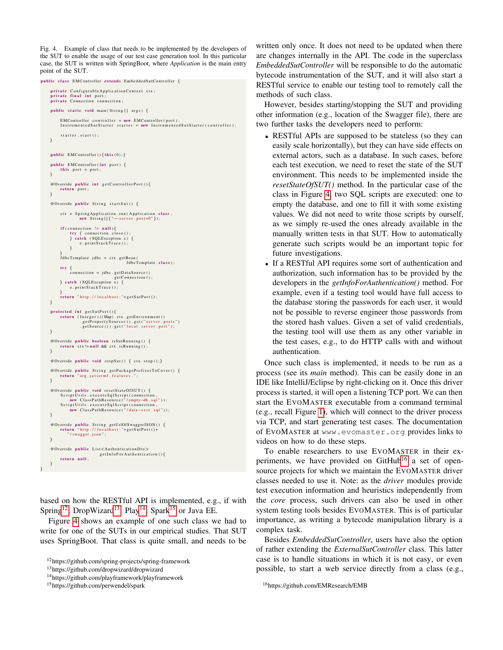<span id="page-2-4"></span>Fig. 4. Example of class that needs to be implemented by the developers of the SUT to enable the usage of our test case generation tool. In this particular case, the SUT is written with SpringBoot, where *Application* is the main entry point of the SUT.



based on how the RESTful API is implemented, e.g., if with Spring<sup>[12](#page-2-0)</sup>, DropWizard<sup>[13](#page-2-1)</sup>, Play<sup>[14](#page-2-2)</sup>, Spark<sup>[15](#page-2-3)</sup> or Java EE.

Figure [4](#page-2-4) shows an example of one such class we had to write for one of the SUTs in our empirical studies. That SUT uses SpringBoot. That class is quite small, and needs to be written only once. It does not need to be updated when there are changes internally in the API. The code in the superclass *EmbeddedSutController* will be responsible to do the automatic bytecode instrumentation of the SUT, and it will also start a RESTful service to enable our testing tool to remotely call the methods of such class.

However, besides starting/stopping the SUT and providing other information (e.g., location of the Swagger file), there are two further tasks the developers need to perform:

- RESTful APIs are supposed to be stateless (so they can easily scale horizontally), but they can have side effects on external actors, such as a database. In such cases, before each test execution, we need to reset the state of the SUT environment. This needs to be implemented inside the *resetStateOfSUT()* method. In the particular case of the class in Figure [4,](#page-2-4) two SQL scripts are executed: one to empty the database, and one to fill it with some existing values. We did not need to write those scripts by ourself, as we simply re-used the ones already available in the manually written tests in that SUT. How to automatically generate such scripts would be an important topic for future investigations.
- If a RESTful API requires some sort of authentication and authorization, such information has to be provided by the developers in the *getInfoForAuthentication()* method. For example, even if a testing tool would have full access to the database storing the passwords for each user, it would not be possible to reverse engineer those passwords from the stored hash values. Given a set of valid credentials, the testing tool will use them as any other variable in the test cases, e.g., to do HTTP calls with and without authentication.

Once such class is implemented, it needs to be run as a process (see its *main* method). This can be easily done in an IDE like IntelliJ/Eclipse by right-clicking on it. Once this driver process is started, it will open a listening TCP port. We can then start the EVOMASTER executable from a command terminal (e.g., recall Figure [1\)](#page-0-1), which will connect to the driver process via TCP, and start generating test cases. The documentation of EVOMASTER at www.evomaster.org provides links to videos on how to do these steps.

To enable researchers to use EVOMASTER in their ex-periments, we have provided on GitHub<sup>[16](#page-2-5)</sup> a set of opensource projects for which we maintain the EVOMASTER driver classes needed to use it. Note: as the *driver* modules provide test execution information and heuristics independently from the *core* process, such drivers can also be used in other system testing tools besides EVOMASTER. This is of particular importance, as writing a bytecode manipulation library is a complex task.

Besides *EmbeddedSutController*, users have also the option of rather extending the *ExternalSutController* class. This latter case is to handle situations in which it is not easy, or even possible, to start a web service directly from a class (e.g.,

<span id="page-2-0"></span><sup>12</sup>https://github.com/spring-projects/spring-framework

<span id="page-2-1"></span><sup>13</sup>https://github.com/dropwizard/dropwizard

<span id="page-2-2"></span><sup>14</sup>https://github.com/playframework/playframework

<span id="page-2-3"></span><sup>15</sup>https://github.com/perwendel/spark

<span id="page-2-5"></span><sup>16</sup>https://github.com/EMResearch/EMB